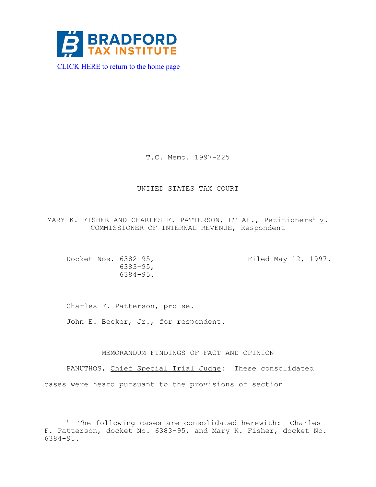

[CLICK HERE to return to the home page](http://www.bradfordtaxinstitute.com/) 

T.C. Memo. 1997-225

# UNITED STATES TAX COURT

MARY K. FISHER AND CHARLES F. PATTERSON, ET AL., Petitioners<sup>1</sup>  $\underline{v}$ . COMMISSIONER OF INTERNAL REVENUE, Respondent

Docket Nos. 6382-95, Filed May 12, 1997. 6383-95, 6384-95.

Charles F. Patterson, pro se.

John E. Becker, Jr., for respondent.

# MEMORANDUM FINDINGS OF FACT AND OPINION

PANUTHOS, Chief Special Trial Judge: These consolidated cases were heard pursuant to the provisions of section

<sup>&</sup>lt;sup>1</sup> The following cases are consolidated herewith: Charles F. Patterson, docket No. 6383-95, and Mary K. Fisher, docket No. 6384-95.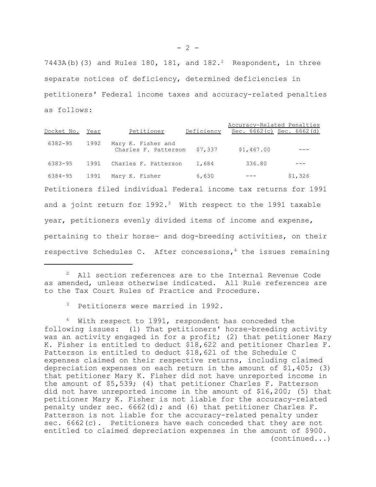7443A(b)(3) and Rules 180, 181, and  $182.^2$  Respondent, in three separate notices of deficiency, determined deficiencies in petitioners' Federal income taxes and accuracy-related penalties as follows:

Accuracy-Related Penalties Docket No. Year Petitioner Deficiency Sec. 6662(c) Sec. 6662(d) 6382-95 1992 Mary K. Fisher and  $\frac{1}{2}$ Charles F. Patterson  $\frac{57}{337}$   $\frac{51}{467.00}$  --- 6383-95 1991 Charles F. Patterson 1,684 336.80 --- 6384-95 1991 Mary K. Fisher 6,630 --- \$1,326 Petitioners filed individual Federal income tax returns for 1991 and a joint return for  $1992.3$  With respect to the 1991 taxable year, petitioners evenly divided items of income and expense, pertaining to their horse- and dog-breeding activities, on their respective Schedules C. After concessions,  $4$  the issues remaining

<sup>2</sup> All section references are to the Internal Revenue Code as amended, unless otherwise indicated. All Rule references are to the Tax Court Rules of Practice and Procedure.

Petitioners were married in 1992.

<sup>4</sup> With respect to 1991, respondent has conceded the following issues: (1) That petitioners' horse-breeding activity was an activity engaged in for a profit; (2) that petitioner Mary K. Fisher is entitled to deduct \$18,622 and petitioner Charles F. Patterson is entitled to deduct \$18,621 of the Schedule C expenses claimed on their respective returns, including claimed depreciation expenses on each return in the amount of \$1,405; (3) that petitioner Mary K. Fisher did not have unreported income in the amount of \$5,539; (4) that petitioner Charles F. Patterson did not have unreported income in the amount of \$16,200; (5) that petitioner Mary K. Fisher is not liable for the accuracy-related penalty under sec.  $6662(d)$ ; and  $(6)$  that petitioner Charles F. Patterson is not liable for the accuracy-related penalty under sec. 6662(c). Petitioners have each conceded that they are not entitled to claimed depreciation expenses in the amount of \$900. (continued...)

 $- 2 -$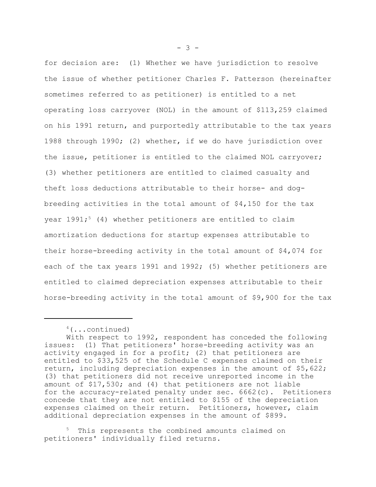for decision are: (1) Whether we have jurisdiction to resolve the issue of whether petitioner Charles F. Patterson (hereinafter sometimes referred to as petitioner) is entitled to a net operating loss carryover (NOL) in the amount of \$113,259 claimed on his 1991 return, and purportedly attributable to the tax years 1988 through 1990; (2) whether, if we do have jurisdiction over the issue, petitioner is entitled to the claimed NOL carryover; (3) whether petitioners are entitled to claimed casualty and theft loss deductions attributable to their horse- and dogbreeding activities in the total amount of \$4,150 for the tax year  $1991;$ <sup>5</sup> (4) whether petitioners are entitled to claim amortization deductions for startup expenses attributable to their horse-breeding activity in the total amount of \$4,074 for each of the tax years 1991 and 1992; (5) whether petitioners are entitled to claimed depreciation expenses attributable to their horse-breeding activity in the total amount of \$9,900 for the tax

This represents the combined amounts claimed on petitioners' individually filed returns.

 $- 3 -$ 

<sup>4(...</sup>continued)

With respect to 1992, respondent has conceded the following issues: (1) That petitioners' horse-breeding activity was an activity engaged in for a profit; (2) that petitioners are entitled to \$33,525 of the Schedule C expenses claimed on their return, including depreciation expenses in the amount of \$5,622; (3) that petitioners did not receive unreported income in the amount of \$17,530; and (4) that petitioners are not liable for the accuracy-related penalty under sec. 6662(c). Petitioners concede that they are not entitled to \$155 of the depreciation expenses claimed on their return. Petitioners, however, claim additional depreciation expenses in the amount of \$899.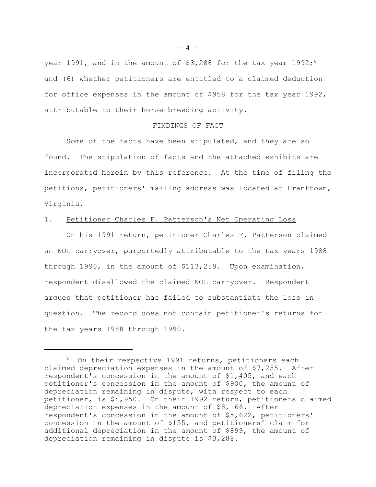year 1991, and in the amount of  $$3,288$  for the tax year 1992;<sup>6</sup> and (6) whether petitioners are entitled to a claimed deduction for office expenses in the amount of \$958 for the tax year 1992, attributable to their horse-breeding activity.

## FINDINGS OF FACT

Some of the facts have been stipulated, and they are so found. The stipulation of facts and the attached exhibits are incorporated herein by this reference. At the time of filing the petitions, petitioners' mailing address was located at Franktown, Virginia.

# 1. Petitioner Charles F. Patterson's Net Operating Loss

On his 1991 return, petitioner Charles F. Patterson claimed an NOL carryover, purportedly attributable to the tax years 1988 through 1990, in the amount of \$113,259. Upon examination, respondent disallowed the claimed NOL carryover. Respondent argues that petitioner has failed to substantiate the loss in question. The record does not contain petitioner's returns for the tax years 1988 through 1990.

 $- 4 -$ 

<sup>6</sup> On their respective 1991 returns, petitioners each claimed depreciation expenses in the amount of \$7,255. After respondent's concession in the amount of \$1,405, and each petitioner's concession in the amount of \$900, the amount of depreciation remaining in dispute, with respect to each petitioner, is \$4,950. On their 1992 return, petitioners claimed depreciation expenses in the amount of \$8,166. After respondent's concession in the amount of \$5,622, petitioners' concession in the amount of \$155, and petitioners' claim for additional depreciation in the amount of \$899, the amount of depreciation remaining in dispute is \$3,288.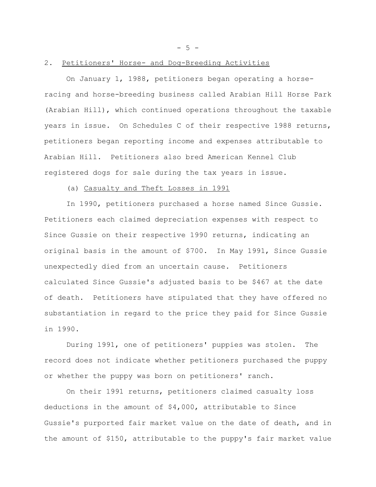$- 5 -$ 

## 2. Petitioners' Horse- and Dog-Breeding Activities

On January 1, 1988, petitioners began operating a horseracing and horse-breeding business called Arabian Hill Horse Park (Arabian Hill), which continued operations throughout the taxable years in issue. On Schedules C of their respective 1988 returns, petitioners began reporting income and expenses attributable to Arabian Hill. Petitioners also bred American Kennel Club registered dogs for sale during the tax years in issue.

#### (a) Casualty and Theft Losses in 1991

In 1990, petitioners purchased a horse named Since Gussie. Petitioners each claimed depreciation expenses with respect to Since Gussie on their respective 1990 returns, indicating an original basis in the amount of \$700. In May 1991, Since Gussie unexpectedly died from an uncertain cause. Petitioners calculated Since Gussie's adjusted basis to be \$467 at the date of death. Petitioners have stipulated that they have offered no substantiation in regard to the price they paid for Since Gussie in 1990.

During 1991, one of petitioners' puppies was stolen. The record does not indicate whether petitioners purchased the puppy or whether the puppy was born on petitioners' ranch.

On their 1991 returns, petitioners claimed casualty loss deductions in the amount of \$4,000, attributable to Since Gussie's purported fair market value on the date of death, and in the amount of \$150, attributable to the puppy's fair market value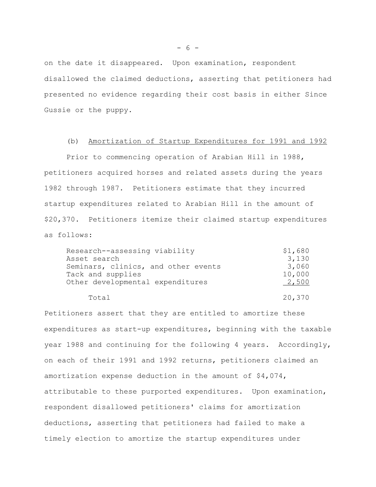on the date it disappeared. Upon examination, respondent disallowed the claimed deductions, asserting that petitioners had presented no evidence regarding their cost basis in either Since Gussie or the puppy.

### (b) Amortization of Startup Expenditures for 1991 and 1992

Prior to commencing operation of Arabian Hill in 1988, petitioners acquired horses and related assets during the years 1982 through 1987. Petitioners estimate that they incurred startup expenditures related to Arabian Hill in the amount of \$20,370. Petitioners itemize their claimed startup expenditures as follows:

| Research--assessing viability       | \$1,680 |
|-------------------------------------|---------|
| Asset search                        | 3,130   |
| Seminars, clinics, and other events | 3,060   |
| Tack and supplies                   | 10,000  |
| Other developmental expenditures    | 2,500   |
| Total                               | 20,370  |

Petitioners assert that they are entitled to amortize these expenditures as start-up expenditures, beginning with the taxable year 1988 and continuing for the following 4 years. Accordingly, on each of their 1991 and 1992 returns, petitioners claimed an amortization expense deduction in the amount of \$4,074, attributable to these purported expenditures. Upon examination, respondent disallowed petitioners' claims for amortization deductions, asserting that petitioners had failed to make a timely election to amortize the startup expenditures under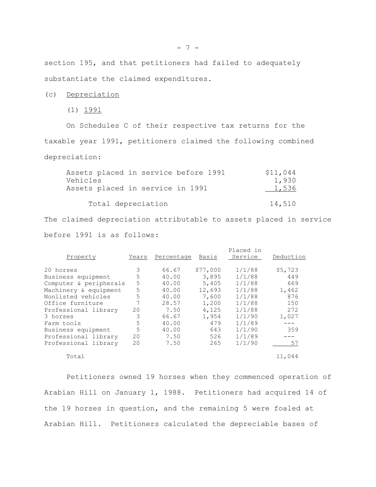section 195, and that petitioners had failed to adequately substantiate the claimed expenditures.

(c) Depreciation

(1) 1991

On Schedules C of their respective tax returns for the taxable year 1991, petitioners claimed the following combined depreciation:

| Assets placed in service before 1991 | \$11,044 |
|--------------------------------------|----------|
| Vehicles                             | 1,930    |
| Assets placed in service in 1991     | 1,536    |
|                                      |          |
| Total depreciation                   | 14,510   |
|                                      |          |

The claimed depreciation attributable to assets placed in service before 1991 is as follows:

| Property               | Years | Percentage | Basis    | Placed in<br>Service | Deduction |
|------------------------|-------|------------|----------|----------------------|-----------|
| 20 horses              | 3     | 66.67      | \$77,000 | 1/1/88               | \$5,723   |
| Business equipment     | 5     | 40.00      | 3,895    | 1/1/88               | 449       |
| Computer & peripherals | 5     | 40.00      | 5,405    | 1/1/88               | 669       |
| Machinery & equipment  | 5     | 40.00      | 12,693   | 1/1/88               | 1,462     |
| Nonlisted vehicles     | 5     | 40.00      | 7,600    | 1/1/88               | 876       |
| Office furniture       |       | 28.57      | 1,200    | 1/1/88               | 150       |
| Professional library   | 20    | 7.50       | 4,125    | 1/1/88               | 272       |
| 3 horses               | 3     | 66.67      | 1,954    | 1/1/90               | 1,027     |
| Farm tools             | 5     | 40.00      | 479      | 1/1/89               |           |
| Business equipment     | 5     | 40.00      | 643      | 1/1/90               | 359       |
| Professional library   | 20    | 7.50       | 526      | 1/1/89               |           |
| Professional library   | 20    | 7.50       | 265      | 1/1/90               | 57        |
| Total                  |       |            |          |                      | 11,044    |

Petitioners owned 19 horses when they commenced operation of Arabian Hill on January 1, 1988. Petitioners had acquired 14 of the 19 horses in question, and the remaining 5 were foaled at Arabian Hill. Petitioners calculated the depreciable bases of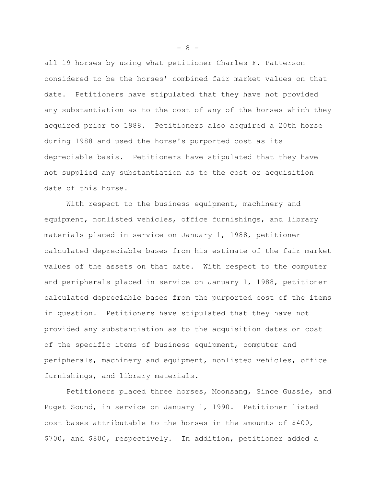all 19 horses by using what petitioner Charles F. Patterson considered to be the horses' combined fair market values on that date. Petitioners have stipulated that they have not provided any substantiation as to the cost of any of the horses which they acquired prior to 1988. Petitioners also acquired a 20th horse during 1988 and used the horse's purported cost as its depreciable basis. Petitioners have stipulated that they have not supplied any substantiation as to the cost or acquisition date of this horse.

With respect to the business equipment, machinery and equipment, nonlisted vehicles, office furnishings, and library materials placed in service on January 1, 1988, petitioner calculated depreciable bases from his estimate of the fair market values of the assets on that date. With respect to the computer and peripherals placed in service on January 1, 1988, petitioner calculated depreciable bases from the purported cost of the items in question. Petitioners have stipulated that they have not provided any substantiation as to the acquisition dates or cost of the specific items of business equipment, computer and peripherals, machinery and equipment, nonlisted vehicles, office furnishings, and library materials.

Petitioners placed three horses, Moonsang, Since Gussie, and Puget Sound, in service on January 1, 1990. Petitioner listed cost bases attributable to the horses in the amounts of \$400, \$700, and \$800, respectively. In addition, petitioner added a

 $- 8 -$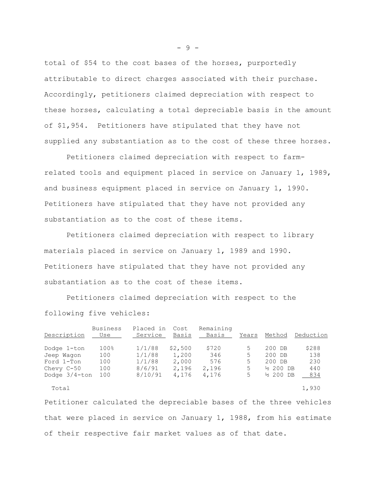total of \$54 to the cost bases of the horses, purportedly attributable to direct charges associated with their purchase. Accordingly, petitioners claimed depreciation with respect to these horses, calculating a total depreciable basis in the amount of \$1,954. Petitioners have stipulated that they have not supplied any substantiation as to the cost of these three horses.

Petitioners claimed depreciation with respect to farmrelated tools and equipment placed in service on January 1, 1989, and business equipment placed in service on January 1, 1990. Petitioners have stipulated that they have not provided any substantiation as to the cost of these items.

Petitioners claimed depreciation with respect to library materials placed in service on January 1, 1989 and 1990. Petitioners have stipulated that they have not provided any substantiation as to the cost of these items.

Petitioners claimed depreciation with respect to the following five vehicles:

| Description      | Business<br>Use  | Placed in<br>Service | Cost<br>Basis | Remaining<br>Basis | Years | Method               | Deduction |
|------------------|------------------|----------------------|---------------|--------------------|-------|----------------------|-----------|
| Dodge 1-ton      | 100 <sub>8</sub> | 1/1/88               | \$2,500       | \$720              | 5     | 200 DB               | \$288     |
| Jeep Waqon       | 100              | 1/1/88               | 1,200         | 346                | 5     | 200 DB               | 138       |
| Ford 1-Ton       | 100              | 1/1/88               | 2,000         | 576                | .5    | 200 DB               | 230       |
| Chevy $C-50$     | 100              | 8/6/91               | 2,196         | 2,196              | 5     | $\frac{1}{2}$ 200 DB | 440       |
| Dodge $3/4$ -ton | 100              | 8/10/91              | 4,176         | 4,176              | 5     | $\frac{1}{2}$ 200 DB | 834       |
| Total            |                  |                      |               |                    |       |                      | 1,930     |

Petitioner calculated the depreciable bases of the three vehicles that were placed in service on January 1, 1988, from his estimate of their respective fair market values as of that date.

- 9 -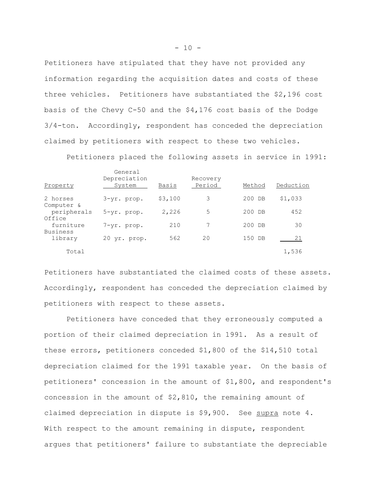Petitioners have stipulated that they have not provided any information regarding the acquisition dates and costs of these three vehicles. Petitioners have substantiated the \$2,196 cost basis of the Chevy C-50 and the \$4,176 cost basis of the Dodge 3/4-ton. Accordingly, respondent has conceded the depreciation claimed by petitioners with respect to these two vehicles.

Petitioners placed the following assets in service in 1991:

| Property               | General<br>Depreciation<br>System | Basis   | Recovery<br>Period | Method | Deduction |
|------------------------|-----------------------------------|---------|--------------------|--------|-----------|
| 2 horses<br>Computer & | 3-yr. prop.                       | \$3,100 | 3                  | 200 DB | \$1,033   |
| peripherals<br>Office  | 5-yr. prop.                       | 2,226   | 5                  | 200 DB | 452       |
| furniture<br>Business  | 7-yr. prop.                       | 210     |                    | 200 DB | 30        |
| library                | 20 yr. prop.                      | 562     | 20                 | 150 DB | 21        |
| Total                  |                                   |         |                    |        | 1,536     |

Petitioners have substantiated the claimed costs of these assets. Accordingly, respondent has conceded the depreciation claimed by petitioners with respect to these assets.

Petitioners have conceded that they erroneously computed a portion of their claimed depreciation in 1991. As a result of these errors, petitioners conceded \$1,800 of the \$14,510 total depreciation claimed for the 1991 taxable year. On the basis of petitioners' concession in the amount of \$1,800, and respondent's concession in the amount of  $$2,810$ , the remaining amount of claimed depreciation in dispute is \$9,900. See supra note 4. With respect to the amount remaining in dispute, respondent argues that petitioners' failure to substantiate the depreciable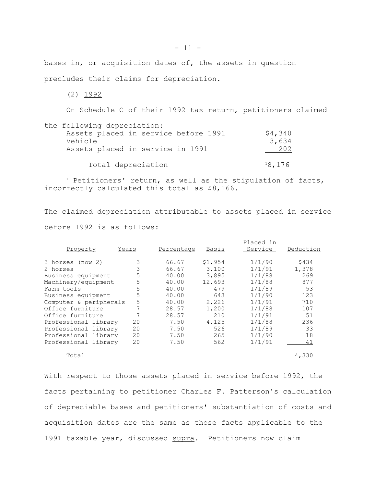bases in, or acquisition dates of, the assets in question precludes their claims for depreciation.

 $(2)$  1992

On Schedule C of their 1992 tax return, petitioners claimed

| the following depreciation:          |         |
|--------------------------------------|---------|
| Assets placed in service before 1991 | \$4,340 |
| Vehicle                              | 3,634   |
| Assets placed in service in 1991     | 202     |
|                                      |         |
| Total depreciation                   | 18,176  |

<sup>1</sup> Petitioners' return, as well as the stipulation of facts, incorrectly calculated this total as \$8,166.

The claimed depreciation attributable to assets placed in service before 1992 is as follows:

| Property               | Years | Percentage | Basis   | Placed in<br>Service | Deduction |
|------------------------|-------|------------|---------|----------------------|-----------|
| 3 horses (now 2)       | 3     | 66.67      | \$1,954 | 1/1/90               | \$434     |
| 2 horses               | 3     | 66.67      | 3,100   | 1/1/91               | 1,378     |
| Business equipment     | 5     | 40.00      | 3,895   | 1/1/88               | 269       |
| Machinery/equipment    | 5     | 40.00      | 12,693  | 1/1/88               | 877       |
| Farm tools             | 5     | 40.00      | 479     | 1/1/89               | 53        |
| Business equipment     | 5     | 40.00      | 643     | 1/1/90               | 123       |
| Computer & peripherals | 5     | 40.00      | 2,226   | 1/1/91               | 710       |
| Office furniture       |       | 28.57      | 1,200   | 1/1/88               | 107       |
| Office furniture       |       | 28.57      | 210     | 1/1/91               | 51        |
| Professional library   | 20    | 7.50       | 4,125   | 1/1/88               | 236       |
| Professional library   | 20    | 7.50       | 526     | 1/1/89               | 33        |
| Professional library   | 20    | 7.50       | 265     | 1/1/90               | 18        |
| Professional library   | 20    | 7.50       | 562     | 1/1/91               | 41        |
| Total                  |       |            |         |                      | 4,330     |

With respect to those assets placed in service before 1992, the facts pertaining to petitioner Charles F. Patterson's calculation of depreciable bases and petitioners' substantiation of costs and acquisition dates are the same as those facts applicable to the 1991 taxable year, discussed supra. Petitioners now claim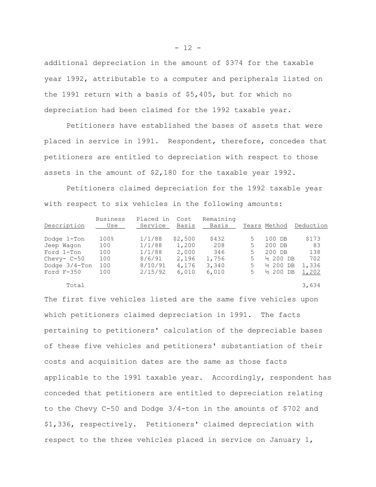additional depreciation in the amount of \$374 for the taxable year 1992, attributable to a computer and peripherals listed on the 1991 return with a basis of \$5,405, but for which no depreciation had been claimed for the 1992 taxable year.

Petitioners have established the bases of assets that were placed in service in 1991. Respondent, therefore, concedes that petitioners are entitled to depreciation with respect to those assets in the amount of \$2,180 for the taxable year 1992.

Petitioners claimed depreciation for the 1992 taxable year with respect to six vehicles in the following amounts:

| Description      | <b>Business</b><br>Use | Placed in<br>Service | Cost<br>Basis | Remaining<br>Basis |    | Years Method         | Deduction |
|------------------|------------------------|----------------------|---------------|--------------------|----|----------------------|-----------|
| Dodge 1-Ton      | $100\%$                | 1/1/88               | \$2,500       | \$432              | 5  | 100 DB               | \$173     |
| Jeep Waqon       | 100                    | 1/1/88               | 1,200         | 208                | 5. | 200 DB               | 83        |
| Ford 1-Ton       | 100                    | 1/1/88               | 2,000         | 346                | 5. | 200 DB               | 138       |
| Chevy- $C-50$    | 100                    | 8/6/91               | 2,196         | 1,756              | 5. | $\frac{1}{2}$ 200 DB | 702       |
| Dodge $3/4$ -Ton | 100                    | 8/10/91              | 4,176         | 3,340              | 5. | <sup>1</sup> 200 DB  | 1,336     |
| Ford $F-350$     | 100                    | 2/15/92              | 6,010         | 6,010              | 5  | $\frac{1}{2}$ 200 DB | 1,202     |

 $Total$  3,634

The first five vehicles listed are the same five vehicles upon which petitioners claimed depreciation in 1991. The facts pertaining to petitioners' calculation of the depreciable bases of these five vehicles and petitioners' substantiation of their costs and acquisition dates are the same as those facts applicable to the 1991 taxable year. Accordingly, respondent has conceded that petitioners are entitled to depreciation relating to the Chevy C-50 and Dodge 3/4-ton in the amounts of \$702 and \$1,336, respectively. Petitioners' claimed depreciation with respect to the three vehicles placed in service on January 1,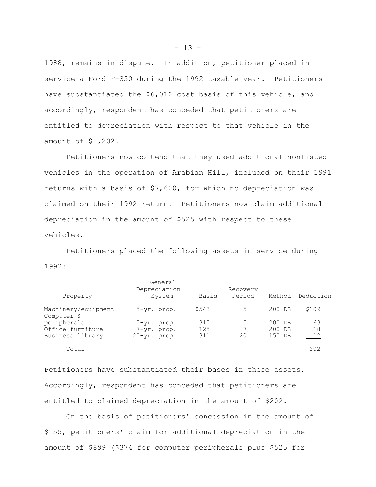1988, remains in dispute. In addition, petitioner placed in service a Ford F-350 during the 1992 taxable year. Petitioners have substantiated the \$6,010 cost basis of this vehicle, and accordingly, respondent has conceded that petitioners are entitled to depreciation with respect to that vehicle in the amount of \$1,202.

Petitioners now contend that they used additional nonlisted vehicles in the operation of Arabian Hill, included on their 1991 returns with a basis of \$7,600, for which no depreciation was claimed on their 1992 return. Petitioners now claim additional depreciation in the amount of \$525 with respect to these vehicles.

Petitioners placed the following assets in service during 1992:

| Property                          | General<br>Depreciation<br>System | Basis | Recovery<br>Period | Method | Deduction |
|-----------------------------------|-----------------------------------|-------|--------------------|--------|-----------|
| Machinery/equipment<br>Computer & | $5 - yr$ . prop.                  | \$543 | 5                  | 200 DB | \$109     |
| peripherals                       | 5-yr. prop.                       | 315   | 5                  | 200 DB | 63        |
| Office furniture                  | 7-yr. prop.                       | 125   | 7                  | 200 DB | 18        |
| Business library                  | 20-yr. prop.                      | 311   | 20                 | 150 DB | 12        |
| Total                             |                                   |       |                    |        | 202       |

Petitioners have substantiated their bases in these assets. Accordingly, respondent has conceded that petitioners are entitled to claimed depreciation in the amount of \$202.

On the basis of petitioners' concession in the amount of \$155, petitioners' claim for additional depreciation in the amount of \$899 (\$374 for computer peripherals plus \$525 for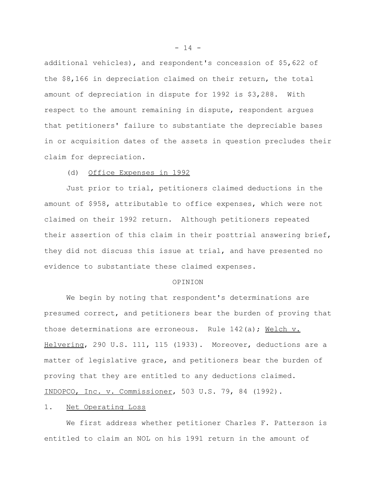additional vehicles), and respondent's concession of \$5,622 of the \$8,166 in depreciation claimed on their return, the total amount of depreciation in dispute for 1992 is \$3,288. With respect to the amount remaining in dispute, respondent argues that petitioners' failure to substantiate the depreciable bases in or acquisition dates of the assets in question precludes their claim for depreciation.

## (d) Office Expenses in 1992

Just prior to trial, petitioners claimed deductions in the amount of \$958, attributable to office expenses, which were not claimed on their 1992 return. Although petitioners repeated their assertion of this claim in their posttrial answering brief, they did not discuss this issue at trial, and have presented no evidence to substantiate these claimed expenses.

#### OPINION

We begin by noting that respondent's determinations are presumed correct, and petitioners bear the burden of proving that those determinations are erroneous. Rule 142(a); Welch v. Helvering, 290 U.S. 111, 115 (1933). Moreover, deductions are a matter of legislative grace, and petitioners bear the burden of proving that they are entitled to any deductions claimed. INDOPCO, Inc. v. Commissioner, 503 U.S. 79, 84 (1992).

## 1. Net Operating Loss

We first address whether petitioner Charles F. Patterson is entitled to claim an NOL on his 1991 return in the amount of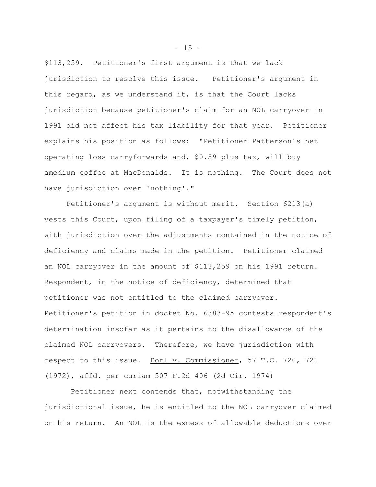\$113,259. Petitioner's first argument is that we lack jurisdiction to resolve this issue. Petitioner's argument in this regard, as we understand it, is that the Court lacks jurisdiction because petitioner's claim for an NOL carryover in 1991 did not affect his tax liability for that year. Petitioner explains his position as follows: "Petitioner Patterson's net operating loss carryforwards and, \$0.59 plus tax, will buy amedium coffee at MacDonalds. It is nothing. The Court does not have jurisdiction over 'nothing'."

Petitioner's argument is without merit. Section 6213(a) vests this Court, upon filing of a taxpayer's timely petition, with jurisdiction over the adjustments contained in the notice of deficiency and claims made in the petition. Petitioner claimed an NOL carryover in the amount of \$113,259 on his 1991 return. Respondent, in the notice of deficiency, determined that petitioner was not entitled to the claimed carryover. Petitioner's petition in docket No. 6383-95 contests respondent's determination insofar as it pertains to the disallowance of the claimed NOL carryovers. Therefore, we have jurisdiction with respect to this issue. Dorl v. Commissioner, 57 T.C. 720, 721 (1972), affd. per curiam 507 F.2d 406 (2d Cir. 1974)

 Petitioner next contends that, notwithstanding the jurisdictional issue, he is entitled to the NOL carryover claimed on his return. An NOL is the excess of allowable deductions over

 $- 15 -$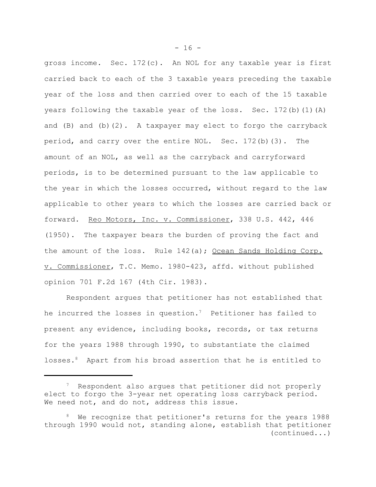gross income. Sec. 172(c). An NOL for any taxable year is first carried back to each of the 3 taxable years preceding the taxable year of the loss and then carried over to each of the 15 taxable years following the taxable year of the loss. Sec. 172(b)(1)(A) and  $(B)$  and  $(b)(2)$ . A taxpayer may elect to forgo the carryback period, and carry over the entire NOL. Sec. 172(b)(3). The amount of an NOL, as well as the carryback and carryforward periods, is to be determined pursuant to the law applicable to the year in which the losses occurred, without regard to the law applicable to other years to which the losses are carried back or forward. Reo Motors, Inc. v. Commissioner, 338 U.S. 442, 446 (1950). The taxpayer bears the burden of proving the fact and the amount of the loss. Rule 142(a); Ocean Sands Holding Corp. v. Commissioner, T.C. Memo. 1980-423, affd. without published opinion 701 F.2d 167 (4th Cir. 1983).

Respondent argues that petitioner has not established that he incurred the losses in question.<sup>7</sup> Petitioner has failed to present any evidence, including books, records, or tax returns for the years 1988 through 1990, to substantiate the claimed losses.<sup>8</sup> Apart from his broad assertion that he is entitled to

 $- 16 -$ 

 $7$  Respondent also argues that petitioner did not properly elect to forgo the 3-year net operating loss carryback period. We need not, and do not, address this issue.

<sup>&</sup>lt;sup>8</sup> We recognize that petitioner's returns for the years 1988 through 1990 would not, standing alone, establish that petitioner (continued...)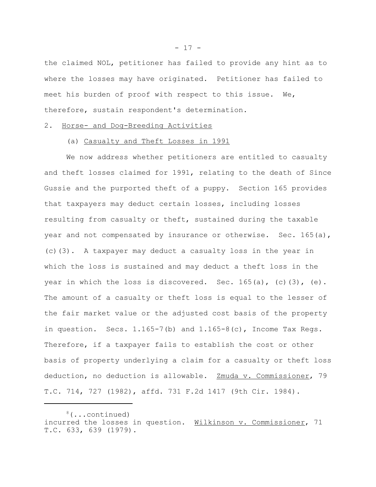the claimed NOL, petitioner has failed to provide any hint as to where the losses may have originated. Petitioner has failed to meet his burden of proof with respect to this issue. We, therefore, sustain respondent's determination.

## 2. Horse- and Dog-Breeding Activities

#### (a) Casualty and Theft Losses in 1991

We now address whether petitioners are entitled to casualty and theft losses claimed for 1991, relating to the death of Since Gussie and the purported theft of a puppy. Section 165 provides that taxpayers may deduct certain losses, including losses resulting from casualty or theft, sustained during the taxable year and not compensated by insurance or otherwise. Sec. 165(a), (c)(3). A taxpayer may deduct a casualty loss in the year in which the loss is sustained and may deduct a theft loss in the year in which the loss is discovered. Sec.  $165(a)$ , (c)(3), (e). The amount of a casualty or theft loss is equal to the lesser of the fair market value or the adjusted cost basis of the property in question. Secs.  $1.165-7$  (b) and  $1.165-8$  (c), Income Tax Regs. Therefore, if a taxpayer fails to establish the cost or other basis of property underlying a claim for a casualty or theft loss deduction, no deduction is allowable. Zmuda v. Commissioner, 79 T.C. 714, 727 (1982), affd. 731 F.2d 1417 (9th Cir. 1984).

 $- 17 -$ 

<sup>&</sup>lt;sup>8</sup>(...continued) incurred the losses in question. Wilkinson v. Commissioner, 71 T.C. 633, 639 (1979).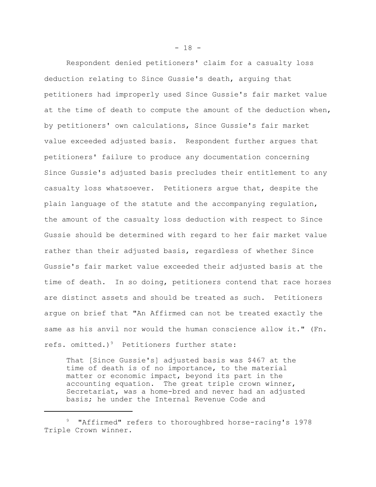Respondent denied petitioners' claim for a casualty loss deduction relating to Since Gussie's death, arguing that petitioners had improperly used Since Gussie's fair market value at the time of death to compute the amount of the deduction when, by petitioners' own calculations, Since Gussie's fair market value exceeded adjusted basis. Respondent further argues that petitioners' failure to produce any documentation concerning Since Gussie's adjusted basis precludes their entitlement to any casualty loss whatsoever. Petitioners argue that, despite the plain language of the statute and the accompanying regulation, the amount of the casualty loss deduction with respect to Since Gussie should be determined with regard to her fair market value rather than their adjusted basis, regardless of whether Since Gussie's fair market value exceeded their adjusted basis at the time of death. In so doing, petitioners contend that race horses are distinct assets and should be treated as such. Petitioners argue on brief that "An Affirmed can not be treated exactly the same as his anvil nor would the human conscience allow it." (Fn. refs. omitted.)<sup>9</sup> Petitioners further state:

That [Since Gussie's] adjusted basis was \$467 at the time of death is of no importance, to the material matter or economic impact, beyond its part in the accounting equation. The great triple crown winner, Secretariat, was a home-bred and never had an adjusted basis; he under the Internal Revenue Code and

 $- 18 -$ 

<sup>9 &</sup>quot;Affirmed" refers to thoroughbred horse-racing's 1978 Triple Crown winner.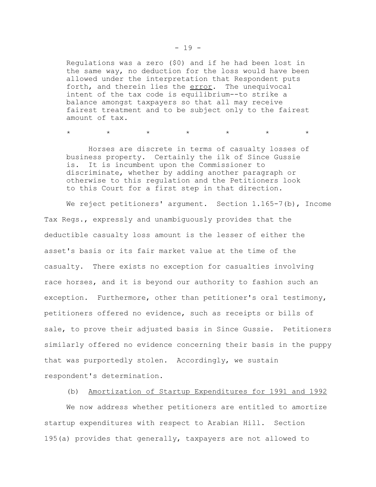Regulations was a zero (\$0) and if he had been lost in the same way, no deduction for the loss would have been allowed under the interpretation that Respondent puts forth, and therein lies the error. The unequivocal intent of the tax code is equilibrium--to strike a balance amongst taxpayers so that all may receive fairest treatment and to be subject only to the fairest amount of tax.

\* \* \* \* \* \* \* \* \* \*

Horses are discrete in terms of casualty losses of business property. Certainly the ilk of Since Gussie is. It is incumbent upon the Commissioner to discriminate, whether by adding another paragraph or otherwise to this regulation and the Petitioners look to this Court for a first step in that direction.

We reject petitioners' argument. Section 1.165-7(b), Income Tax Regs., expressly and unambiguously provides that the deductible casualty loss amount is the lesser of either the asset's basis or its fair market value at the time of the casualty. There exists no exception for casualties involving race horses, and it is beyond our authority to fashion such an exception. Furthermore, other than petitioner's oral testimony, petitioners offered no evidence, such as receipts or bills of sale, to prove their adjusted basis in Since Gussie. Petitioners similarly offered no evidence concerning their basis in the puppy that was purportedly stolen. Accordingly, we sustain respondent's determination.

(b) Amortization of Startup Expenditures for 1991 and 1992

We now address whether petitioners are entitled to amortize startup expenditures with respect to Arabian Hill. Section 195(a) provides that generally, taxpayers are not allowed to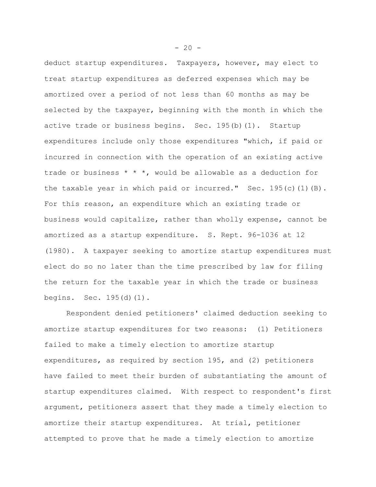deduct startup expenditures. Taxpayers, however, may elect to treat startup expenditures as deferred expenses which may be amortized over a period of not less than 60 months as may be selected by the taxpayer, beginning with the month in which the active trade or business begins. Sec. 195(b)(1). Startup expenditures include only those expenditures "which, if paid or incurred in connection with the operation of an existing active trade or business  $* * *$ , would be allowable as a deduction for the taxable year in which paid or incurred." Sec.  $195(c)$  (1)(B). For this reason, an expenditure which an existing trade or business would capitalize, rather than wholly expense, cannot be amortized as a startup expenditure. S. Rept. 96-1036 at 12 (1980). A taxpayer seeking to amortize startup expenditures must elect do so no later than the time prescribed by law for filing the return for the taxable year in which the trade or business begins. Sec. 195(d)(1).

Respondent denied petitioners' claimed deduction seeking to amortize startup expenditures for two reasons: (1) Petitioners failed to make a timely election to amortize startup expenditures, as required by section 195, and (2) petitioners have failed to meet their burden of substantiating the amount of startup expenditures claimed. With respect to respondent's first argument, petitioners assert that they made a timely election to amortize their startup expenditures. At trial, petitioner attempted to prove that he made a timely election to amortize

 $-20 -$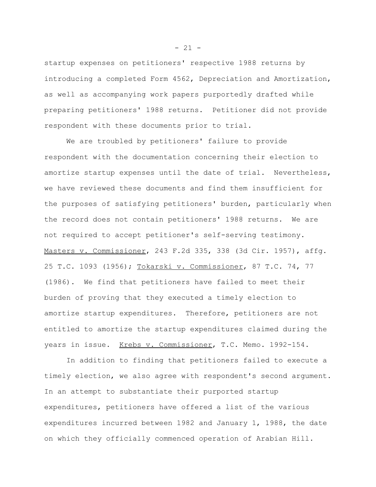startup expenses on petitioners' respective 1988 returns by introducing a completed Form 4562, Depreciation and Amortization, as well as accompanying work papers purportedly drafted while preparing petitioners' 1988 returns. Petitioner did not provide respondent with these documents prior to trial.

We are troubled by petitioners' failure to provide respondent with the documentation concerning their election to amortize startup expenses until the date of trial. Nevertheless, we have reviewed these documents and find them insufficient for the purposes of satisfying petitioners' burden, particularly when the record does not contain petitioners' 1988 returns. We are not required to accept petitioner's self-serving testimony. Masters v. Commissioner, 243 F.2d 335, 338 (3d Cir. 1957), affg. 25 T.C. 1093 (1956); Tokarski v. Commissioner, 87 T.C. 74, 77 (1986). We find that petitioners have failed to meet their burden of proving that they executed a timely election to amortize startup expenditures. Therefore, petitioners are not entitled to amortize the startup expenditures claimed during the years in issue. Krebs v. Commissioner, T.C. Memo. 1992-154.

In addition to finding that petitioners failed to execute a timely election, we also agree with respondent's second argument. In an attempt to substantiate their purported startup expenditures, petitioners have offered a list of the various expenditures incurred between 1982 and January 1, 1988, the date on which they officially commenced operation of Arabian Hill.

 $- 21 -$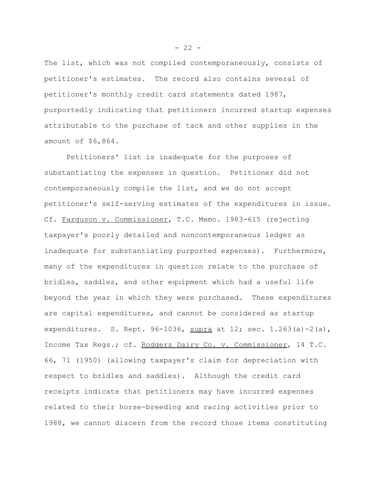The list, which was not compiled contemporaneously, consists of petitioner's estimates. The record also contains several of petitioner's monthly credit card statements dated 1987, purportedly indicating that petitioners incurred startup expenses attributable to the purchase of tack and other supplies in the amount of \$6,864.

Petitioners' list is inadequate for the purposes of substantiating the expenses in question. Petitioner did not contemporaneously compile the list, and we do not accept petitioner's self-serving estimates of the expenditures in issue. Cf. Farquson v. Commissioner, T.C. Memo. 1983-615 (rejecting taxpayer's poorly detailed and noncontemporaneous ledger as inadequate for substantiating purported expenses). Furthermore, many of the expenditures in question relate to the purchase of bridles, saddles, and other equipment which had a useful life beyond the year in which they were purchased. These expenditures are capital expenditures, and cannot be considered as startup expenditures. S. Rept. 96-1036, supra at 12; sec.  $1.263(a) - 2(a)$ , Income Tax Regs.; cf. Rodgers Dairy Co. v. Commissioner, 14 T.C. 66, 71 (1950) (allowing taxpayer's claim for depreciation with respect to bridles and saddles). Although the credit card receipts indicate that petitioners may have incurred expenses related to their horse-breeding and racing activities prior to 1988, we cannot discern from the record those items constituting

 $- 22 -$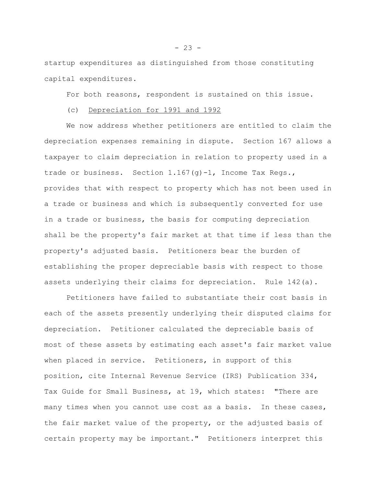startup expenditures as distinguished from those constituting capital expenditures.

For both reasons, respondent is sustained on this issue.

# (c) Depreciation for 1991 and 1992

We now address whether petitioners are entitled to claim the depreciation expenses remaining in dispute. Section 167 allows a taxpayer to claim depreciation in relation to property used in a trade or business. Section 1.167(g)-1, Income Tax Regs., provides that with respect to property which has not been used in a trade or business and which is subsequently converted for use in a trade or business, the basis for computing depreciation shall be the property's fair market at that time if less than the property's adjusted basis. Petitioners bear the burden of establishing the proper depreciable basis with respect to those assets underlying their claims for depreciation. Rule 142(a).

Petitioners have failed to substantiate their cost basis in each of the assets presently underlying their disputed claims for depreciation. Petitioner calculated the depreciable basis of most of these assets by estimating each asset's fair market value when placed in service. Petitioners, in support of this position, cite Internal Revenue Service (IRS) Publication 334, Tax Guide for Small Business, at 19, which states: "There are many times when you cannot use cost as a basis. In these cases, the fair market value of the property, or the adjusted basis of certain property may be important." Petitioners interpret this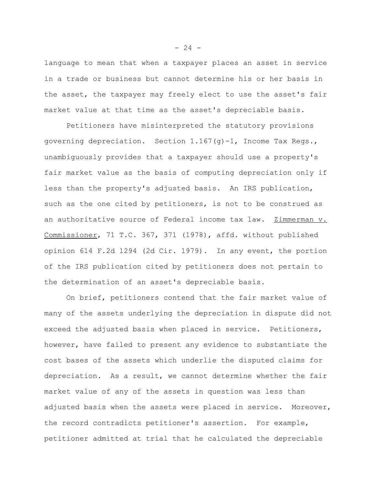language to mean that when a taxpayer places an asset in service in a trade or business but cannot determine his or her basis in the asset, the taxpayer may freely elect to use the asset's fair market value at that time as the asset's depreciable basis.

Petitioners have misinterpreted the statutory provisions governing depreciation. Section  $1.167(q)-1$ , Income Tax Regs., unambiguously provides that a taxpayer should use a property's fair market value as the basis of computing depreciation only if less than the property's adjusted basis. An IRS publication, such as the one cited by petitioners, is not to be construed as an authoritative source of Federal income tax law. Zimmerman v. Commissioner, 71 T.C. 367, 371 (1978), affd. without published opinion 614 F.2d 1294 (2d Cir. 1979). In any event, the portion of the IRS publication cited by petitioners does not pertain to the determination of an asset's depreciable basis.

On brief, petitioners contend that the fair market value of many of the assets underlying the depreciation in dispute did not exceed the adjusted basis when placed in service. Petitioners, however, have failed to present any evidence to substantiate the cost bases of the assets which underlie the disputed claims for depreciation. As a result, we cannot determine whether the fair market value of any of the assets in question was less than adjusted basis when the assets were placed in service. Moreover, the record contradicts petitioner's assertion. For example, petitioner admitted at trial that he calculated the depreciable

 $- 24 -$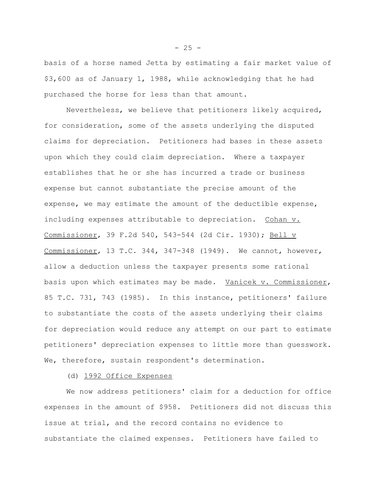basis of a horse named Jetta by estimating a fair market value of \$3,600 as of January 1, 1988, while acknowledging that he had purchased the horse for less than that amount.

Nevertheless, we believe that petitioners likely acquired, for consideration, some of the assets underlying the disputed claims for depreciation. Petitioners had bases in these assets upon which they could claim depreciation. Where a taxpayer establishes that he or she has incurred a trade or business expense but cannot substantiate the precise amount of the expense, we may estimate the amount of the deductible expense, including expenses attributable to depreciation. Cohan v. Commissioner, 39 F.2d 540, 543-544 (2d Cir. 1930); Bell v Commissioner, 13 T.C. 344, 347-348 (1949). We cannot, however, allow a deduction unless the taxpayer presents some rational basis upon which estimates may be made. Vanicek v. Commissioner, 85 T.C. 731, 743 (1985). In this instance, petitioners' failure to substantiate the costs of the assets underlying their claims for depreciation would reduce any attempt on our part to estimate petitioners' depreciation expenses to little more than guesswork. We, therefore, sustain respondent's determination.

(d) 1992 Office Expenses

We now address petitioners' claim for a deduction for office expenses in the amount of \$958. Petitioners did not discuss this issue at trial, and the record contains no evidence to substantiate the claimed expenses. Petitioners have failed to

 $- 25 -$